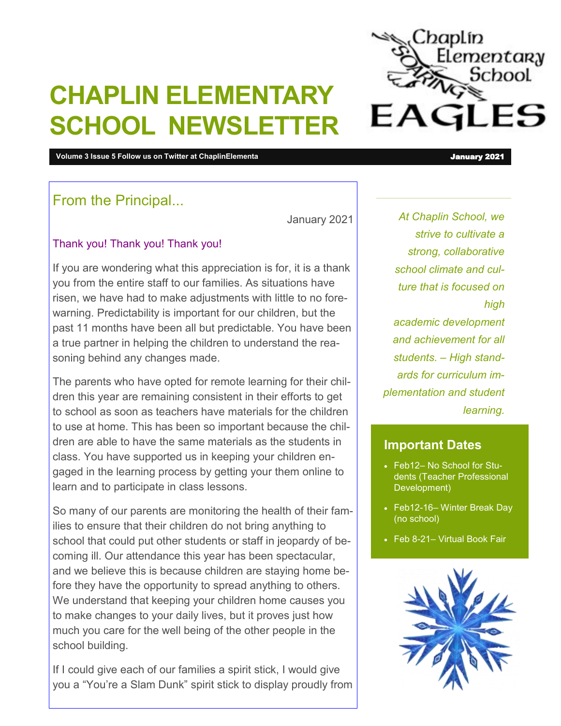# **CHAPLIN ELEMENTARY SCHOOL NEWSLETTER**

**Volume 3 Issue 5 Follow us on Twitter at ChaplinElementa** January 2021 **January 2021** 

### From the Principal...

January 2021

#### Thank you! Thank you! Thank you!

If you are wondering what this appreciation is for, it is a thank you from the entire staff to our families. As situations have risen, we have had to make adjustments with little to no forewarning. Predictability is important for our children, but the past 11 months have been all but predictable. You have been a true partner in helping the children to understand the reasoning behind any changes made.

The parents who have opted for remote learning for their children this year are remaining consistent in their efforts to get to school as soon as teachers have materials for the children to use at home. This has been so important because the children are able to have the same materials as the students in class. You have supported us in keeping your children engaged in the learning process by getting your them online to learn and to participate in class lessons.

So many of our parents are monitoring the health of their families to ensure that their children do not bring anything to school that could put other students or staff in jeopardy of becoming ill. Our attendance this year has been spectacular, and we believe this is because children are staying home before they have the opportunity to spread anything to others. We understand that keeping your children home causes you to make changes to your daily lives, but it proves just how much you care for the well being of the other people in the school building.

If I could give each of our families a spirit stick, I would give you a "You're a Slam Dunk" spirit stick to display proudly from

*At Chaplin School, we strive to cultivate a strong, collaborative school climate and culture that is focused on high academic development and achievement for all students. – High standards for curriculum implementation and student*

*learning.*

#### **Important Dates**

- Feb12– No School for Students (Teacher Professional Development)
- Feb12-16– Winter Break Day (no school)
- Feb 8-21- Virtual Book Fair



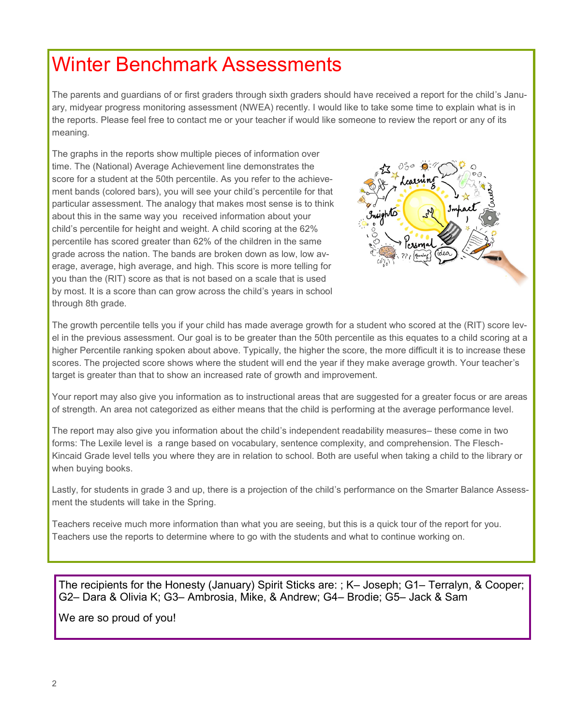### Winter Benchmark Assessments

The parents and guardians of or first graders through sixth graders should have received a report for the child's January, midyear progress monitoring assessment (NWEA) recently. I would like to take some time to explain what is in the reports. Please feel free to contact me or your teacher if would like someone to review the report or any of its meaning.

The graphs in the reports show multiple pieces of information over time. The (National) Average Achievement line demonstrates the score for a student at the 50th percentile. As you refer to the achievement bands (colored bars), you will see your child's percentile for that particular assessment. The analogy that makes most sense is to think about this in the same way you received information about your child's percentile for height and weight. A child scoring at the 62% percentile has scored greater than 62% of the children in the same grade across the nation. The bands are broken down as low, low average, average, high average, and high. This score is more telling for you than the (RIT) score as that is not based on a scale that is used by most. It is a score than can grow across the child's years in school through 8th grade.



The growth percentile tells you if your child has made average growth for a student who scored at the (RIT) score level in the previous assessment. Our goal is to be greater than the 50th percentile as this equates to a child scoring at a higher Percentile ranking spoken about above. Typically, the higher the score, the more difficult it is to increase these scores. The projected score shows where the student will end the year if they make average growth. Your teacher's target is greater than that to show an increased rate of growth and improvement.

Your report may also give you information as to instructional areas that are suggested for a greater focus or are areas of strength. An area not categorized as either means that the child is performing at the average performance level.

The report may also give you information about the child's independent readability measures– these come in two forms: The Lexile level is a range based on vocabulary, sentence complexity, and comprehension. The Flesch-Kincaid Grade level tells you where they are in relation to school. Both are useful when taking a child to the library or when buying books.

Lastly, for students in grade 3 and up, there is a projection of the child's performance on the Smarter Balance Assessment the students will take in the Spring.

Teachers receive much more information than what you are seeing, but this is a quick tour of the report for you. Teachers use the reports to determine where to go with the students and what to continue working on.

The recipients for the Honesty (January) Spirit Sticks are: ; K– Joseph; G1– Terralyn, & Cooper; G2– Dara & Olivia K; G3– Ambrosia, Mike, & Andrew; G4– Brodie; G5– Jack & Sam

We are so proud of you!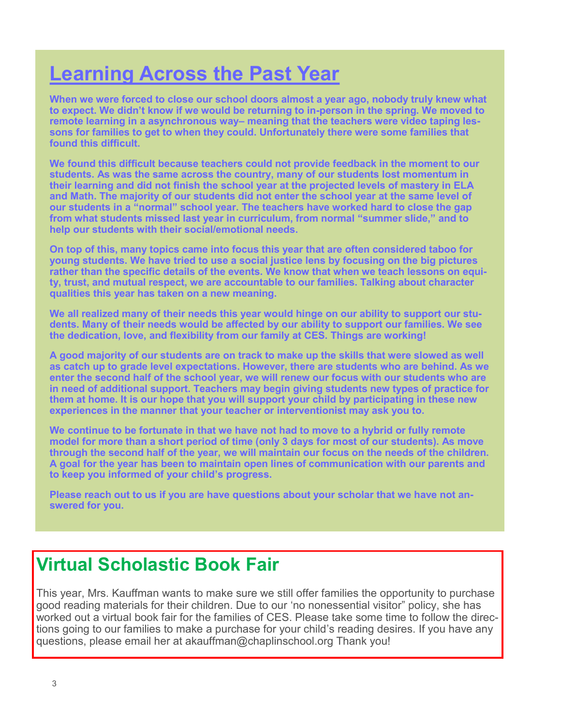## **Learning Across the Past Year**

**When we were forced to close our school doors almost a year ago, nobody truly knew what to expect. We didn't know if we would be returning to in-person in the spring. We moved to remote learning in a asynchronous way– meaning that the teachers were video taping lessons for families to get to when they could. Unfortunately there were some families that found this difficult.**

**We found this difficult because teachers could not provide feedback in the moment to our students. As was the same across the country, many of our students lost momentum in their learning and did not finish the school year at the projected levels of mastery in ELA and Math. The majority of our students did not enter the school year at the same level of our students in a "normal" school year. The teachers have worked hard to close the gap from what students missed last year in curriculum, from normal "summer slide," and to help our students with their social/emotional needs.** 

**On top of this, many topics came into focus this year that are often considered taboo for young students. We have tried to use a social justice lens by focusing on the big pictures rather than the specific details of the events. We know that when we teach lessons on equity, trust, and mutual respect, we are accountable to our families. Talking about character qualities this year has taken on a new meaning.** 

**We all realized many of their needs this year would hinge on our ability to support our students. Many of their needs would be affected by our ability to support our families. We see the dedication, love, and flexibility from our family at CES. Things are working!** 

**A good majority of our students are on track to make up the skills that were slowed as well as catch up to grade level expectations. However, there are students who are behind. As we enter the second half of the school year, we will renew our focus with our students who are in need of additional support. Teachers may begin giving students new types of practice for them at home. It is our hope that you will support your child by participating in these new experiences in the manner that your teacher or interventionist may ask you to.** 

**We continue to be fortunate in that we have not had to move to a hybrid or fully remote model for more than a short period of time (only 3 days for most of our students). As move through the second half of the year, we will maintain our focus on the needs of the children. A goal for the year has been to maintain open lines of communication with our parents and to keep you informed of your child's progress.** 

**Please reach out to us if you are have questions about your scholar that we have not answered for you.** 

### **Virtual Scholastic Book Fair**

This year, Mrs. Kauffman wants to make sure we still offer families the opportunity to purchase good reading materials for their children. Due to our 'no nonessential visitor" policy, she has worked out a virtual book fair for the families of CES. Please take some time to follow the directions going to our families to make a purchase for your child's reading desires. If you have any questions, please email her at akauffman@chaplinschool.org Thank you!